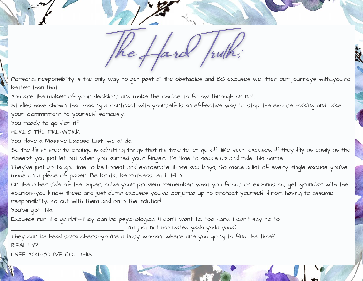fard the f Juith

Personal responsibility is the only way to get past all the obstacles and BS excuses we litter our journeys with...you're better than that.

You are the maker of your decisions and make the choice to follow through or not.

Studies have shown that making a contract with yourself is an effective way to stop the excuse making and take your commitment to yourself seriously.

You ready to go for it?

HERE'S THE PRE-WORK:

You Have a Massive Excuse List--we all do.

So the first step to change is admitting things that it's time to let go of--like your excuses. If they fly as easily as the \*bleep\* you just let out when you burned your finger, it's time to saddle up and ride this horse.

They've just gotta go, time to be honest and eviscerate those bad boys, So make a list of every single excuse you've made on a piece of paper. Be brutal, be ruthless, let it FLY!

On the other side of the paper, solve your problem. remember what you focus on expands so, get granular with the solution--you know these are just dumb excuses you've conjured up to protect yourself from having to assume responsibility, so out with them and onto the solution!

You've got this.

Excuses run the gambit--they can be psychological (I don't want to, too hard, I can't say no to

, I'm just not motivated...yada yada yada).

They can be head scratchers--you're a busy woman, where are you going to find the time? REALLY?

I SEE YOU--YOU'VE GOT THIS.